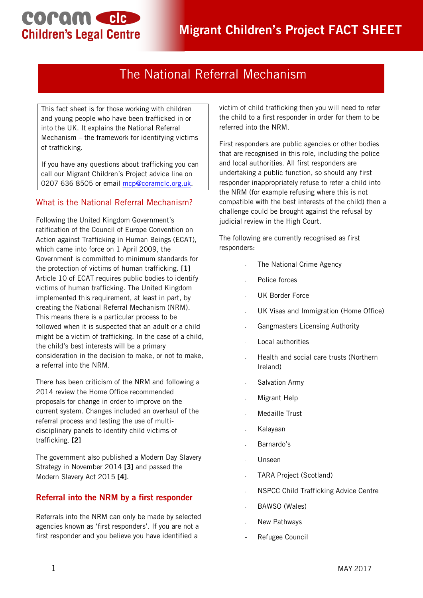# coram ele **Children's Legal Centre**

### The National Referral Mechanism

This fact sheet is for those working with children and young people who have been trafficked in or into the UK. It explains the National Referral Mechanism – the framework for identifying victims of trafficking.

If you have any questions about trafficking you can call our Migrant Children's Project advice line on 0207 636 8505 or email [mcp@coramclc.org.uk.](mailto:mcp@coramclc.org.uk)

### What is the National Referral Mechanism?

Following the United Kingdom Government's ratification of the Council of Europe Convention on Action against Trafficking in Human Beings (ECAT), which came into force on 1 April 2009, the Government is committed to minimum standards for the protection of victims of human trafficking. **[1]** Article 10 of ECAT requires public bodies to identify victims of human trafficking. The United Kingdom implemented this requirement, at least in part, by creating the National Referral Mechanism (NRM). This means there is a particular process to be followed when it is suspected that an adult or a child might be a victim of trafficking. In the case of a child, the child's best interests will be a primary consideration in the decision to make, or not to make, a referral into the NRM.

There has been criticism of the NRM and following a 2014 review the Home Office recommended proposals for change in order to improve on the current system. Changes included an overhaul of the referral process and testing the use of multidisciplinary panels to identify child victims of trafficking. **[2]**

The government also published a Modern Day Slavery Strategy in November 2014 **[3]** and passed the Modern Slavery Act 2015 **[4]**.

### **Referral into the NRM by a first responder**

Referrals into the NRM can only be made by selected agencies known as 'first responders'. If you are not a first responder and you believe you have identified a

victim of child trafficking then you will need to refer the child to a first responder in order for them to be referred into the NRM.

First responders are public agencies or other bodies that are recognised in this role, including the police and local authorities. All first responders are undertaking a public function, so should any first responder inappropriately refuse to refer a child into the NRM (for example refusing where this is not compatible with the best interests of the child) then a challenge could be brought against the refusal by judicial review in the High Court.

The following are currently recognised as first responders:

- The National Crime Agency
- Police forces
- UK Border Force
- UK Visas and Immigration (Home Office)
- Gangmasters Licensing Authority
- Local authorities
- Health and social care trusts (Northern Ireland)
- Salvation Army
- Migrant Help
- Medaille Trust
- Kalayaan
- Barnardo's
- Unseen
- TARA Project (Scotland)
- NSPCC Child Trafficking Advice Centre
- BAWSO (Wales)
- New Pathways
- Refugee Council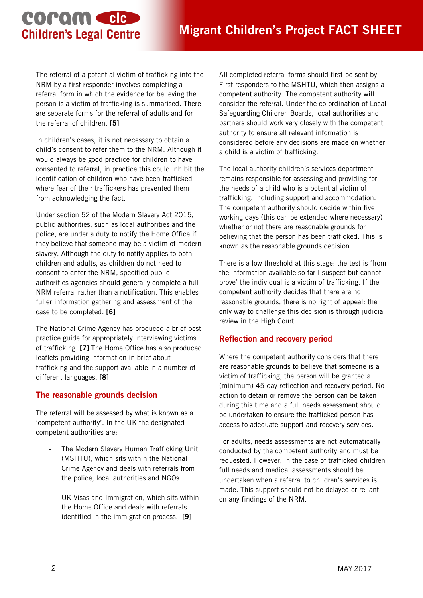# coram cle **Children's Legal Centre**

The referral of a potential victim of trafficking into the NRM by a first responder involves completing a referral form in which the evidence for believing the person is a victim of trafficking is summarised. There are separate forms for the referral of adults and for the referral of children. **[5]**

In children's cases, it is not necessary to obtain a child's consent to refer them to the NRM. Although it would always be good practice for children to have consented to referral, in practice this could inhibit the identification of children who have been trafficked where fear of their traffickers has prevented them from acknowledging the fact.

Under section 52 of the Modern Slavery Act 2015, public authorities, such as local authorities and the police, are under a duty to notify the Home Office if they believe that someone may be a victim of modern slavery. Although the duty to notify applies to both children and adults, as children do not need to consent to enter the NRM, specified public authorities agencies should generally complete a full NRM referral rather than a notification. This enables fuller information gathering and assessment of the case to be completed. **[6]**

The National Crime Agency has produced a brief best practice guide for appropriately interviewing victims of trafficking. **[7]** The Home Office has also produced leaflets providing information in brief about trafficking and the support available in a number of different languages. **[8]**

### **The reasonable grounds decision**

The referral will be assessed by what is known as a 'competent authority'. In the UK the designated competent authorities are:

- The Modern Slavery Human Trafficking Unit (MSHTU), which sits within the National Crime Agency and deals with referrals from the police, local authorities and NGOs.
- UK Visas and Immigration, which sits within the Home Office and deals with referrals identified in the immigration process. **[9]**

All completed referral forms should first be sent by First responders to the MSHTU, which then assigns a competent authority. The competent authority will consider the referral. Under the co-ordination of Local Safeguarding Children Boards, local authorities and partners should work very closely with the competent authority to ensure all relevant information is considered before any decisions are made on whether a child is a victim of trafficking.

The local authority children's services department remains responsible for assessing and providing for the needs of a child who is a potential victim of trafficking, including support and accommodation. The competent authority should decide within five working days (this can be extended where necessary) whether or not there are reasonable grounds for believing that the person has been trafficked. This is known as the reasonable grounds decision.

There is a low threshold at this stage: the test is 'from the information available so far I suspect but cannot prove' the individual is a victim of trafficking. If the competent authority decides that there are no reasonable grounds, there is no right of appeal: the only way to challenge this decision is through judicial review in the High Court.

#### **Reflection and recovery period**

Where the competent authority considers that there are reasonable grounds to believe that someone is a victim of trafficking, the person will be granted a (minimum) 45-day reflection and recovery period. No action to detain or remove the person can be taken during this time and a full needs assessment should be undertaken to ensure the trafficked person has access to adequate support and recovery services.

For adults, needs assessments are not automatically conducted by the competent authority and must be requested. However, in the case of trafficked children full needs and medical assessments should be undertaken when a referral to children's services is made. This support should not be delayed or reliant on any findings of the NRM.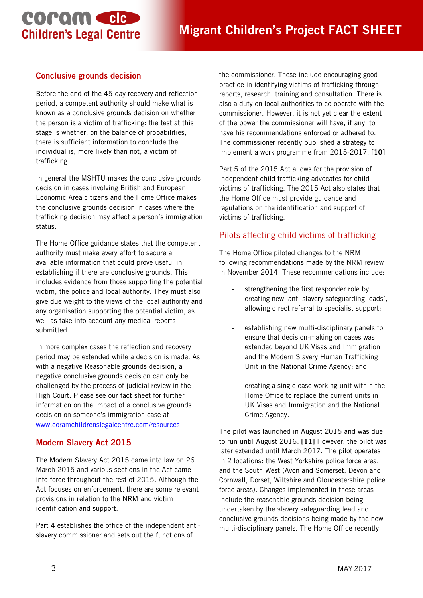# **COPAM CE Children's Legal Centre**

#### **Conclusive grounds decision**

Before the end of the 45-day recovery and reflection period, a competent authority should make what is known as a conclusive grounds decision on whether the person is a victim of trafficking: the test at this stage is whether, on the balance of probabilities, there is sufficient information to conclude the individual is, more likely than not, a victim of trafficking.

In general the MSHTU makes the conclusive grounds decision in cases involving British and European Economic Area citizens and the Home Office makes the conclusive grounds decision in cases where the trafficking decision may affect a person's immigration status.

The Home Office guidance states that the competent authority must make every effort to secure all available information that could prove useful in establishing if there are conclusive grounds. This includes evidence from those supporting the potential victim, the police and local authority. They must also give due weight to the views of the local authority and any organisation supporting the potential victim, as well as take into account any medical reports submitted.

In more complex cases the reflection and recovery period may be extended while a decision is made. As with a negative Reasonable grounds decision, a negative conclusive grounds decision can only be challenged by the process of judicial review in the High Court. Please see our fact sheet for further information on the impact of a conclusive grounds decision on someone's immigration case at [www.coramchildrenslegalcentre.com/resources.](http://www.coramchildrenslegalcentre.com/resources)

### **Modern Slavery Act 2015**

The Modern Slavery Act 2015 came into law on 26 March 2015 and various sections in the Act came into force throughout the rest of 2015. Although the Act focuses on enforcement, there are some relevant provisions in relation to the NRM and victim identification and support.

Part 4 establishes the office of the independent antislavery commissioner and sets out the functions of

the commissioner. These include encouraging good practice in identifying victims of trafficking through reports, research, training and consultation. There is also a duty on local authorities to co-operate with the commissioner. However, it is not yet clear the extent of the power the commissioner will have, if any, to have his recommendations enforced or adhered to. The commissioner recently published a strategy to implement a work programme from 2015-2017. **[10]**

Part 5 of the 2015 Act allows for the provision of independent child trafficking advocates for child victims of trafficking. The 2015 Act also states that the Home Office must provide guidance and regulations on the identification and support of victims of trafficking.

### Pilots affecting child victims of trafficking

The Home Office piloted changes to the NRM following recommendations made by the NRM review in November 2014. These recommendations include:

- strengthening the first responder role by creating new 'anti-slavery safeguarding leads', allowing direct referral to specialist support;
- establishing new multi-disciplinary panels to ensure that decision-making on cases was extended beyond UK Visas and Immigration and the Modern Slavery Human Trafficking Unit in the National Crime Agency; and
- creating a single case working unit within the Home Office to replace the current units in UK Visas and Immigration and the National Crime Agency.

The pilot was launched in August 2015 and was due to run until August 2016. **[11]** However, the pilot was later extended until March 2017. The pilot operates in 2 locations: the West Yorkshire police force area, and the South West (Avon and Somerset, Devon and Cornwall, Dorset, Wiltshire and Gloucestershire police force areas). Changes implemented in these areas include the reasonable grounds decision being undertaken by the slavery safeguarding lead and conclusive grounds decisions being made by the new multi-disciplinary panels. The Home Office recently